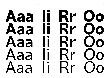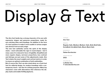# Display & Text

**The Airo font family has a strong character of its own with expressive shapes and generous proportions, made for eye-catching titles and brandings. An addition in the form of a text typeface to make it more usable in various usages was obvious from an early stage.**

**The new text subfamily carries the spirit of the display styles—most noticeable the vigor in round shapes—but in many cases it is reduced in favor of legibility. Simplified and more organic shapes, narrower proportions, less contrast and inktraps are just some of the adjustments made. Airo Text retains the exact weights and vertical metrics in order to ensure an optimal combination of both subfamilies.** 

**But of course Airo Text can also stand alone: as a fresh text font for editorial design, for modern brandings with a contemporary touch—but also for striking purposes. Many key characters come with alternatives that reference the display styles and enable thrilling ligatures.** 

#### TYPEFACE

**Airo Text**

#### WEIGHTS

**Regular, Italic, Medium, Medium Italic, Bold, Bold Italic, ExtraBold, ExtraBold Italic, Black, Black Italic**

#### DESIGNED BY

**Fabian Dornhecker**

#### YEAR OF RELEASE

#### **2021**

#### AVAILABLE ON

**La Bolde Vita → www.laboldevita.com**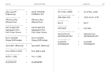| CASE-SENSITIVE PUNCTUATION ▶ CASE<br><sup>@</sup> ?Que-pasa?<br>(hi@mail:sp)<br>STANDARD LIGATURES ▶ LIGA<br>efficiency flow<br>affected final<br><b>DISCRETIONARY LIGATURES ▶ DLIG</b><br><b>FACTS MATTER</b><br>Aggregated Herz<br><b>Fact Cutter Sicario</b><br>STYLISTIC SET 01 (Horizontal Endings) ▶ SS01<br>Gucci también<br>Sloppy 6,99 badges<br>STYLISTIC SET 02 (Alternative Quotation Marks) ▶ SS02<br>'grounded' "Messung"<br>STYLISTIC SET 03 (Circled Numbers) ▶ SS03<br>from $(2)(0)$ to $(2)(1)$<br><b>DYNAMIC FRACTIONS ▶ FRAC</b> | $\rightarrow$<br>$\rightarrow$<br>$\rightarrow$<br>$\rightarrow$<br>$\rightarrow$<br>$\rightarrow$<br>$\rightarrow$<br>$\rightarrow$<br>$\rightarrow$<br>$\rightarrow$<br>$\rightarrow$ | ¿QUE-PASA?®<br>(HI@MAIL:SP)<br>efficiency flow<br>affected final<br><b>FACTS MATTER</b><br>Aggregated Herz<br><b>Fact Cutter Sicario</b><br>Gucci también<br>Sloppy 6,99 badges<br>'grounded' "Messung"<br>from 20 to 20 | <b>OLDSTYLE FIGURES ▶ ONUM</b><br>$(27 \text{ of Nov. } 2016)$<br><b>TABULAR LINING FIGURES ▶ TNUM</b><br>$25\frac{1}{5} + 81\frac{1}{5} \approx 37\%$<br>SUPERSCRIPT ▶ SUPS<br>$64 \text{ m}$ 2<br>SUBSCRIPT ▶ SUBS<br><b>H2O NO3</b><br>CONTEXTUAL ALTERNATES ▶ CALT<br>www.soma.xyz<br><b>WEIBRAUM OK!?</b><br><b>LOCALIZED FORMS ▶ LOCL</b><br>si paral·lel<br><b>DIYARBAKIR</b> | $\rightarrow$<br>$\rightarrow$<br>$\rightarrow$<br>$\rightarrow$<br>$\rightarrow$<br>$\rightarrow$<br>$\rightarrow$<br>$\rightarrow$ | $(27 \text{ of Nov. } 2016)$<br>25\$+81¥≈378<br>$64 \,\mathrm{m}^2$<br>H <sub>2</sub> O NO <sub>3</sub><br>www.soma.xyz<br><b>WEIBRAUM OK?</b><br>și parallel<br><b>DIYARBAKIR</b> |
|------------------------------------------------------------------------------------------------------------------------------------------------------------------------------------------------------------------------------------------------------------------------------------------------------------------------------------------------------------------------------------------------------------------------------------------------------------------------------------------------------------------------------------------------------|-----------------------------------------------------------------------------------------------------------------------------------------------------------------------------------------|--------------------------------------------------------------------------------------------------------------------------------------------------------------------------------------------------------------------------|--------------------------------------------------------------------------------------------------------------------------------------------------------------------------------------------------------------------------------------------------------------------------------------------------------------------------------------------------------------------------------------|--------------------------------------------------------------------------------------------------------------------------------------|------------------------------------------------------------------------------------------------------------------------------------------------------------------------------------|
| $41/23 = 1,782$                                                                                                                                                                                                                                                                                                                                                                                                                                                                                                                                      | $\rightarrow$                                                                                                                                                                           | $4\frac{1}{2} = 1.782$                                                                                                                                                                                                   |                                                                                                                                                                                                                                                                                                                                                                                      |                                                                                                                                      |                                                                                                                                                                                    |
| <b>SLASHED ZERO ▶ ZERO</b><br>€2,0510703                                                                                                                                                                                                                                                                                                                                                                                                                                                                                                             | →                                                                                                                                                                                       | €2,0510703                                                                                                                                                                                                               |                                                                                                                                                                                                                                                                                                                                                                                      |                                                                                                                                      |                                                                                                                                                                                    |
|                                                                                                                                                                                                                                                                                                                                                                                                                                                                                                                                                      |                                                                                                                                                                                         |                                                                                                                                                                                                                          |                                                                                                                                                                                                                                                                                                                                                                                      |                                                                                                                                      |                                                                                                                                                                                    |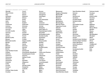#### SUPPORTED LANGUAGES / GLYPH COVERAGE

| Abenaki                      |
|------------------------------|
| Afaan Oromo                  |
| Afar                         |
| <b>Afrikaans</b>             |
| <b>Albanian</b>              |
| Alsatian                     |
| Amis                         |
| Anuta                        |
| Aragonese                    |
| <b>Aranese</b>               |
| Aromanian                    |
| Arrernte                     |
| <b>Arvanitic (Latin)</b>     |
| Asturian                     |
| Atayal                       |
| Aymara                       |
| <b>Bashkir (Latin)</b>       |
| <b>Basque</b>                |
| <b>Belarusian (Latin)</b>    |
| <b>Bemba</b>                 |
| <b>Bikol</b>                 |
| <b>Bislama</b>               |
| <b>Bosnian</b>               |
| <b>Breton</b>                |
| <b>Cape Verdean Creole</b>   |
| Catalan                      |
| Cebuano                      |
| Chamorro                     |
| Chavacano                    |
| <b>Chichewa</b>              |
| Chickasaw                    |
| Cimbrian                     |
| Cofán                        |
| Cornish                      |
| Corsican                     |
| <b>Creek</b>                 |
| <b>Crimean Tatar (Latin)</b> |
| Croatian                     |

**Czech Danish Dawan Delaware Dholuo Drehu Dutch English Esperanto Estonian Faroese Fijian Filipino Finnish Folkspraak French Frisian Friulian Gagauz (Latin) Galician Ganda Genoese German Gikuyu Gooniyandi Greenlandic (Kalaallisut) Guadeloupean Creole Gwich'in Haitian Creole Hän Hawaiian Hiligaynon Hopi Hotcąk (Latin) Hungarian Icelandic Ido Igbo**

**Ilocano Indonesian Interglossa Interlingua Irish Istro-Romanian Italian Jamaican Javanese (Latin) Jèrriais Kaingang Kala Lagaw Ya Kapampangan (Latin) Kaqchikel Karakalpak (Latin) Karelian (Latin) Kashubian Kikongo Kinyarwanda Kiribati Kirundi Klingon Kurdish (Latin) Ladin Latin Latino sine Flexione Latvian Lithuanian Lojban Lombard Low Saxon Luxembourgish Maasai Makhuwa Malay Maltese Manx Māori**

**Marquesan Megleno-Romanian Meriam Mir Mirandese Mohawk Moldovan Montagnais Montenegrin Murrinh-Patha Nagamese Creole Nahuatl Ndebele Neapolitan Ngiyambaa Niuean Noongar Norwegian Novial Occidental Occitan Onĕipŏt Oshiwambo Ossetian (Latin) Palauan Papiamento Piedmontese Polish Portuguese Potawatomi Q'eqchi' Quechua Rarotongan Romanian Romansh Rotokas Sami (Inari Sami) Sami (Lule Sami) Sami (Northern Sami)**

**Sami (Southern Sami) Samoan Sango Saramaccan Sardinian Scottish Gaelic Serbian (Latin) Seri Seychellois Creole Shawnee Shona Sicilian Silesian Slovak Slovenian Slovio (Latin) Somali Sorbian (Lower Sorbian) Sorbian (Upper Sorbian) Sotho (Northern) Sotho (Southern) Spanish Sranan Sundanese (Latin) Swahili Swazi Swedish Tagalog Tahitian Tetum Tok Pisin Tokelauan Tongan Tshiluba Tsonga Tswana Tumbuka Turkish**

**Turkmen (Latin) Tuvaluan Tzotzil Uzbek (Latin) Venetian Vepsian Volapük Võro Wallisian Walloon Waray-Waray Warlpiri Wayuu Welsh Wik-Mungkan Wiradjuri Wolof Xavante Xhosa Yapese Yindjibarndi Zapotec Zazaki Zulu Zuni**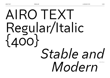# AIRO TEXT Regular/Italic {400} *Stable and*  Modern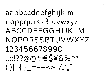# aabbccddefghijklm noppggrssßtuvwxyz ABCCDEFGGHIJKLM NOPQRSSBTUVWXYZ 123456678990  $...$ ??@@# $\epsilon$ \$¥&%^\*  $\sum_{n=1}^{n}$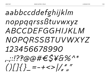aabbccddefghijklm noppggrssßtuvwxyz ABCCDEFGGHIJKLM NOPQRSSBTUVWXYZ 123456678990  $...$ ??@@# $\epsilon$ \$¥&%^\*  $\left(\frac{1}{2}\right)^{n}$  = - + < >  $\left/\frac{n}{n}\right]$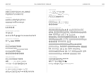$8/65$ 

**UPPERCASE** 

### ABCCDEFGGHIJKLMNO PQRSSTUVWXYZ

ca ct cz fa ft ga gg rt rz ra sa st sz ta tt

**IOWERCASE** 

PUNCTUATION …;;…!¡?¿∙•\*\*\*\*\*# /\()[]{}@@&t# **CASE-SENSITIVE FORMS** 

 $()[]{}$ ici:; • - - - « » <>

OTHER SYMBOLS

¢£F£€Ŝ¥¤Pts®©®™

←↑↓→↔↑₹スコンビ▲▼▶◀▲▲▶▼

Nºlao∘ ◇ ℮ ¶ S f f ft *e*er

 $\begin{smallmatrix}\n\mathbb{B}\n\mathbb{O}\n\mathbb{O} & \mathbb{B}\n\mathbb{O} & \mathbb{O}\n\end{smallmatrix}$ **ACCENTED CHARACTERS** ÀÁÂÃÄÅĀĂĂĄÃẠÆ ÇÇĆĆĈĈĊĊČČ ĐĎĐ ÈÉÊËĒĒĔĖĘĚĒĘ ĜĜĞĞĠĠĢĢĞĞ  $\hat{H}$  to  $\hat{I}$   $\hat{I}$   $\hat{I}$  $\hat{I}$  $\hat{I}$  $\hat{I}$  $\hat{I}$   $\hat{I}$   $\hat{I}$  $\hat{I}$   $\hat{I}$   $\hat{I}$   $\hat{I}$   $\hat{I}$   $\hat{I}$   $\hat{I}$   $\hat{I}$   $\hat{I}$   $\hat{I}$   $\hat{I}$   $\hat{I}$   $\hat{I}$   $\hat{I}$   $\hat{I}$   $\hat{I}$   $\hat{I}$   $\hat{I}$ NNŅŇŊ ÒÓÔÕÖØØŌŎŐQŒ Þ ŔŖŘ ŚŚŜŜŜŞȘȘŠŠ ŢŢŤŦ ÙÚÛÜŨŪŬŮŰŲŲ ŴŴŴŴÝŶŸŸŶŶ*ŹŻ* ccccccccccc dd'd'dd eéeeeeeeeee ggggg ĥħ ìíîïīĭījjī ijíj ĵj ķk ĺļľŀł ñńņňhŋ dóôõöøøōöõoœ bb rrř śśŝŝssssšš ttťt ùúûüūūŭůűuu wwwŵ ýŷÿÿỹỳ źżž

 $\Pi$  st  $\Pi$ 

**FIGURES** 

**STANDARD LIGATURES** 

### aabbccddefghijklmn

### oppggrssßtuvwxyz

**DISCRETIONARY LIGATURES** 

CONTEXTUAL ALTERNATES B ? i www WWW

012345667899

012345667899

**TABULAR FIGURES** 

0000000000

012345667899

**MATHEMATICAL SYMBOLS** 

# $\theta$ , . : ; + − ± × ÷ = ≠ ≈

 $\langle \rangle$   $\leq$   $\geq$   $\rightarrow$   $\zeta$   $\in$   $\pm$   $\in$   $\zeta$   $\leq$   $\pm$   $\zeta$ 

+-±×÷=≠≈<>≤≥~¬/|

 $\Delta\Omega$ u $\pi$  $\Delta$  $\Pi$  $\Sigma$  $\partial\sqrt{\bullet}$  ∞ %% $\frac{1}{4}$  $\frac{1}{2}$  $\frac{3}{4}$ 

012345667899<br>012345667899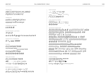**UPPERCASE** 

### ABCCDEFGGHIJKLMNO PORSSTUVWXYZ

**IOWERCASE** 

### aabbccddefghijklmn oppggrssßtuvwxyz

**STANDARD LIGATURES** 

**DISCRETIONARY LIGATURES** 

 $\Pi$  ST  $\Pi$ ca ct cz fa ft ga gg rt rz ra sa st sz ta tt

CONTEXTUAL ALTERNATES

B ? i www WWW

**FIGURES** 

012345667899  $012345667899$ 012345667899 012345667899  $00000000000$ 

**TABULAR FIGURES** 

012345667899 # $\frac{9}{6}$ , . : ; + − ± x ÷ = ≠ ≈  $\langle 0, 1 | 0 \rangle$ 

**MATHEMATICAL SYMBOLS** 

 $+ - \pm x \div = \neq \approx \lt>> \leq \geq \sim \neg \diagup / \big/ \big/$  $\Delta$ Qu $\pi$  $(\Delta$  $\Pi$  $\delta$  $\sqrt{\bullet}$  ∞%% $\frac{1}{4}$  $\frac{1}{2}$  $\frac{3}{4}$  PUNCTUATION

.,:;...!;?¿・•\*\*\*\*\*# ———<sup>"'</sup> <> << >> <sup>"</sup> " ~——" <sub>"</sub> <> << > ^ " = - $\Lambda$ ()[]{}@@&t#

CASE-SENSITIVE FORMS  $( )[[\{]_i\}_{i \in \mathbb{N}} \cdot \bullet -- - \ast \ast \circ$  $\bigcirc$   $\bigcirc$   $\bigcirc$   $\bigcirc$   $\bigcirc$   $\bigcirc$   $\bigcirc$   $\bigcirc$   $\bigcirc$   $\bigcirc$   $\bigcirc$   $\bigcirc$   $\bigcirc$   $\bigcirc$   $\bigcirc$   $\bigcirc$   $\bigcirc$   $\bigcirc$   $\bigcirc$   $\bigcirc$   $\bigcirc$   $\bigcirc$   $\bigcirc$   $\bigcirc$   $\bigcirc$   $\bigcirc$   $\bigcirc$   $\bigcirc$   $\bigcirc$   $\bigcirc$   $\bigcirc$   $\bigcirc$   $\bigcirc$   $\bigcirc$   $\bigcirc$   $\bigcirc$   $\bigcirc$ 

**ACCENTED CHARACTERS** 

ÀÁÂÃÄÅÅĀĂĄÅAÆÆ ÇÇĆĆĈĈĊĊČČ ĐĎĐ ÈÉÊËĒĔĔĘĚĒĘ ĜĜĞĞĞĠĢĢĞĞ ĤĦ ÌÍÎÏĨĬĪĮĮİ IJÍĴ Ĵ Ķ ĹĻĽĿŁ NŃŅŇŊ ÒÓÔÕÖØØŌŎŎQŒ Þ ŔŖŘ ŚŚŜŜŞȘȘȘŠŠ ŢŢŤŦ ÙÚÛÜŨŪŬŮŰŲŲ ŴŴŴŴ*Ý*ŶŸŸŶŶ*ŹŻ*Ź à à á á â â ã ã ä å å ā ā ă ă a a ă ã a a æ æ æ æ ccccccccccc dd'd'at eéeeeeeeeee êğggğ hħ ìíî iī i i ji jíj ĵ kĸ ĺļľŀł ñńņňhŋ dóôõöøøōöőọœ bb frř śśŝŝşşşşšš tțťt  $\hat{u}$ úû $\hat{u}$ ūūū̃uu $\hat{u}$ úų ww $\hat{w}$   $\hat{v}$  $\hat{y}$ y $\hat{y}$  $\hat{y}$  $\hat{y}$  $\hat{y}$  $\hat{z}$  $\hat{z}$ 

OTHER SYMBOLS

¢£F£€Ŝ¥¤Pts®©®™  $N^{\varrho}$ l<sup>ao</sup>°  $\Diamond$   $\ominus$  ¶*Sffft*  $\mathbb{R}$ <sub>k</sub> ←↑↓→↔↑₹スコンビ▲▼▶◀▲▲▶▼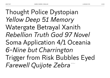Thought Police Dystopian *Yellow Deep 51 Memory*  Watergate Betrayal Xanith *Rebellion Truth God 97 Novel*  Soma Application 4/1 Oceania *6-Nine but Charrington*  Trigger from Risk Bubbles Eyed Farewell Quijote Zebra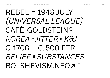### $REBEL = 1948 JUIY$ *{UNIVERSAL LEAGUE}* CAFÉ GOLDSTEIN® *KOREA×JITTER▶K&J* C. 1700—C.500 FTR *BELIEF•SUBSTANCES* BOLSHEVISM.NEO↗ 54/68 pt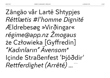$Retterdighet (Arrêté) ...$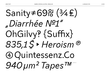# Sanity  $\pm 69\% (3/4 \pm )$ "Diarrhée Nº1" OhGilvy? {Suffix} 835,15 Heroism<sup>®</sup> 40 Quintessenz.Co 940 um<sup>2</sup> Tapes<sup>TM</sup>

13/65

**LA BOLDE VITA**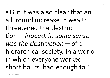•But it was also clear that an all-round increase in wealth threatened the destruction*—indeed, in some sense was the destruction—*of a hierarchical society. In a world in which everyone worked short hours, had enough to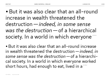•But it was also clear that an all-round increase in wealth threatened the destruction*—indeed, in some sense was the destruction—*of a hierarchical society. In a world in which everyone

•But it was also clear that an all-round increase in wealth threatened the destruction*—indeed, in some sense was the destruction—*of a hierarchical society. In a world in which everyone worked short hours, had enough to eat, lived in a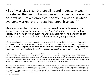•But it was also clear that an all-round increase in wealth threatened the destruction*—indeed, in some sense was the destruction—*of a hierarchical society. In a world in which everyone worked short hours, had enough to eat <sup>24/28 pt</sup>

•But it was also clear that an all-round increase in wealth threatened the destruction*—indeed, in some sense was the destruction—*of a hierarchical society. In a world in which everyone worked short hours, had enough to eat, lived in a house with a bathroom and a refrigerator, and possessed 18/21 pt

•But it was also clear that an all-round increase in wealth threatened the destruction*—indeed, in some sense was the destruction—*of a hierarchical society. In a world in which everyone worked short hours, had enough to eat, lived in a house with a bathroom and a refrigerator, and possessed a motor-car or even an aeroplane, the most obvious and perhaps the most important form of <sup>14/17 pt</sup>

•But it was also clear that an all-round increase in wealth threatened the destruction*—indeed, in some sense was the destruction—*of a hierarchical society. In a world in which everyone worked short hours, had enough to eat, lived in a house with a bathroom and a refrigerator, and possessed a motor-car or even an aeroplane, the most obvious and perhaps the most important form of inequality would already have disappeared. If it once became general, wealth would confer no distinction. It was possible, no doubt, to imagine a society in which *WEALTH,* in the sense of personal possessions and luxuries 11/14 pt

•But it was also clear that an all-round increase in wealth threatened the destruction*—indeed, in some sense was the destruction—*of a hierarchical society. In a world in which everyone worked short hours, had enough to eat, lived in a house with a bathroom and a refrigerator, and possessed a motor-car or even an aeroplane, the most obvious and perhaps the most important form of inequality would already have disappeared. If it once became general, wealth would confer no distinction. It was possible, no doubt, to imagine a society in which *WEALTH,* in the sense of personal possessions and luxuries, should be evenly distributed, while *POWER* remained in the hands of a small privileged caste. 9/12 pt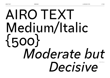# AIRO TEXT Medium/Italic  $\{500\}$ *Moderate but*  Decisive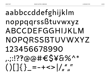# aabbccddefghijklm noppggrssßtuvwxyz ABCCDEFGGHIJKLM NOPQRSSBTUVWXYZ 123456678990  $\ldots$  ?? aa# $\epsilon$ \$¥&%^\*  $\sum_{m=1}^{n}$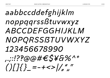aabbccddefghijklm noppggrssßtuvwxyz ABCCDEFGGHIJKLM NOPQRSSBTUVWXYZ 123456678990  $\ldots$  ?? Paa# $\epsilon$ \$¥&%^\*  $( )[[]( )_{-}=-+<>)/$ 

**LA BOLDE VITA**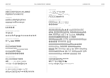**UPPERCASE** 

### ABCCDEFGGHIJKLMNO PQRSSTUVWXYZ

ca ct cz fa ft ga gg rt rz ra sa st sz ta tt

**IOWERCASE** 

 $\Pi$  st  $\Pi$ 

**FIGURES** 

**STANDARD LIGATURES**  $f$  f f ff ff ff

**DISCRETIONARY LIGATURES** 

CONTEXTUAL ALTERNATES B ? i www WWW

012345667899

012345667899

**TABULAR FIGURES** 

0000000000

012345667899

**MATHEMATICAL SYMBOLS** 

#8, . : ; + - ± × ÷ = ≠ ≈

 $\leq$  >  $\leq$   $\geq$   $\neg$   $\zeta$   $\in$   $\in$   $\in$   $\leq$   $\leq$   $\leq$   $\leq$   $\leq$   $\leq$   $\leq$   $\leq$   $\leq$   $\leq$   $\leq$   $\leq$   $\leq$   $\leq$   $\leq$   $\leq$   $\leq$   $\leq$   $\leq$   $\leq$   $\leq$   $\leq$   $\leq$   $\leq$   $\leq$   $\leq$   $\leq$   $\leq$   $\leq$ 

+-±×÷=≠≈<>≤≥~¬/|¦

 $\Delta\Omega\mu\pi$   $\Delta\Pi\Sigma\partial\sqrt{\cdot\omega\%}\%$   $\frac{1}{4}\frac{1}{2}\frac{3}{4}$ 

012345667899<br>012345667899

aabbccddefghijklmn

oppggrssßtuvwxyz

**ACCENTED CHARACTERS** ÀÁÂÃÄÅÅĀĂĄÃAÆÆ ÇÇĆĆĈĈĊĊČČ ĐĎĐ ÈÉÊËĒĔĔĖĘĚĒĘ ĜĜĞĞĠĠĢĢĞĞ ĤĦ ÌÍÎÏĨĬĪĮĮİ IJÍJ Ĵ Ķ ĹĻĽĿŁ ÑŃŅŇŊ ÒÓÔÕÖØØŌŎŎOŒÞŔRŘ ŚŚŜŜŞŞȘȘŠŠ ŢŢŤŦ ÙÚÛÜŨŪŬŮŰŲŲ ŴŴŴŴÝŶŸŸŶŶ*ŹŻ* ccccccccccc dd'd'dd eeeeeeeeeee êğggg ĥħ ìíîïīĭījịı ijíj́ ĵյ ķĸ ĺḷľŀł ñńņň'nŋ dóôõöøøōöõoœ bb rrř śśŝŝssssšš ttťt dúâüūūŭåűuu wwww ýŷÿÿỹỳ źżž

 $()[]{}$ ici:  $\bullet$  - - - « » <>  $\begin{picture}(18,18) \put(0,0){\vector(1,0){180}} \put(15,0){\vector(1,0){180}} \put(15,0){\vector(1,0){180}} \put(15,0){\vector(1,0){180}} \put(15,0){\vector(1,0){180}} \put(15,0){\vector(1,0){180}} \put(15,0){\vector(1,0){180}} \put(15,0){\vector(1,0){180}} \put(15,0){\vector(1,0){180}} \put(15,0){\vector(1,0){180}} \put(15,0){\vector(1,0){180}} \$ 

CASE-SENSITIVE FORMS

…;;…!¡?¿∙●\*\*\*\*\*# /\()[]{}@@&t#

PUNCTUATION

OTHER SYMBOLS

¢£F£€Ŝ¥¤Pts®©®™

←↑↓→↔↑₹₹₹₩₩₩₩₩₩

Nºlao∘ ◇ ℮¶§ffft Per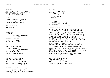**UPPERCASE** 

### ABCCDEFGGHIJKLMNO PORSSTUVWXYZ

**IOWERCASE** 

### aabbccddefghijklmn oppggrssßtuvwxyz

**STANDARD LIGATURES** 

**DISCRETIONARY LIGATURES** 

 $\Pi$  ST  $\Pi$ ca ct cz fa ft ga gg rt rz ra sa st sz ta tt

CONTEXTUAL ALTERNATES

B ? i www WWW

**FIGURES** 

012345667899  $012345667899$ 012345667899 012345667899 0000000000

**TABULAR FIGURES** 

012345667899 # $\overset{2}{\beta}$ , ; ; + − ± x ÷ = ≠ ≈  $\langle 0, 1 \rangle$   $\leq$   $\geq$   $\leq$   $\leq$   $\leq$   $\leq$   $\leq$   $\leq$   $\leq$   $\leq$   $\leq$   $\leq$   $\leq$   $\leq$   $\leq$   $\leq$   $\leq$   $\leq$   $\leq$   $\leq$   $\leq$   $\leq$   $\leq$   $\leq$   $\leq$   $\leq$   $\leq$   $\leq$   $\leq$   $\leq$   $\leq$   $\leq$   $\leq$   $\leq$   $\leq$ 

**MATHEMATICAL SYMBOLS** 

 $+ - \pm x \div = \neq \approx \lt>> \leq \geq \sim \neg \diagup / \big/ \big/$  $\Delta$ Qu $\pi$  $\Delta$  $\Pi$  $\delta$  $\sqrt{\bullet}$  ∞%% $\frac{1}{4}$  $\frac{1}{2}$  $\frac{3}{4}$  PUNCTUATION

…;;...!;?¿∙• \*\*\*\*\* \*#  $\Lambda$ ()[]{}@@&t#

CASE-SENSITIVE FORMS  $( )[[\{}]iii:: \bullet---\ll x \sim 0$  $\textcircled{p}$  $\textcircled{q}$  $\textcircled{r}$ 

**ACCENTED CHARACTERS** *ÀÁÂÃÄÅÅĀĂĄÅAÆÆ ÇÇĆĆĈĈĊĊČČ* ĐĎĐ ÈÉÊËĒĔĔĖĘĚĒĘ ĜĜĞĞĠĠĢĢĞĞ ĤĦ ĬÍÎÏĬĬĪĮĮİ IJÍĴ ĶĹĻĽĿŁ ÑŃŅŇŊ ÒÓÔÕÖØØŌŎŎŎŒÞŔRŘ ŚŚŜŜŞŞŞŞŠŠ ŢŢŤŦ ŨÚÛÜŨŪŬŮŰŲŲ ŴŴŴŴ*Ý*ŶŸŸŶŶ*ŹŻ*Ź a a á á á a ã ã ä ä å å ā ā ă ä a a ä å a a æ æ æ æ ccccccccccc dd'd'ad eéeeeeeeeee êğggğ hħ iíîïīĭījịi ijíj ĵj ķĸ ĺļľŀł ñńņňhŋ oóôõöøøōöőọœ bb frř śśŝŝşşşşšš ttťt  $\hat{u}$ úû $\hat{u}$ ūū̃ũũũuu ẁw̃ŵŵ ýŷÿỹỹỳ źżž

OTHER SYMBOLS

¢£F£€Ŝ¥¤Pts®©®™  $N^{2}$ l  $^{a\,o\,o}$   $\Diamond$   $\ominus$   $\mathcal{F}$   $S$  f  $f$   $f$ t  $\mathbb{R}$ r ←↑↓→↔↑₹₹₹₩₩₩₩₩₩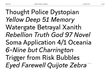Thought Police Dystopian *Yellow Deep 51 Memory*  Watergate Betrayal Xanith *Rebellion Truth God 97 Novel*  Soma Application 4/1 Oceania *6-Nine but Charrington*  Trigger from Risk Bubbles **Eyed Farewell Quijote Zebra**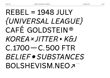### $REBEL = 1948 JUIY$ *{UNIVERSAL LEAGUE}* CAFÉ GOLDSTEIN® *KOREA×JITTER▶K&J* C. 1700—C.500 FTR *BELIEF•SUBSTANCES* BOLSHEVISM.NEO↗ 54/68 pt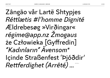### Zângão vår Lartë Shtypjes *Réttlætis #l'homme Dignité* Ældrebesøg »Virðingar« *régime@app.nz Žmogaus*  że Człowieka [Gyffredin] *"Kadınların " Ävensom\**  Içinde Straßenfest 'Þjóðdir'  $Retterdighet (Arrêté) ...$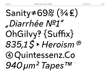# Sanity  $\neq$  69% (3/4 £) "Diarrhée Nº1" OhGilvy? {Suffix} 835,15 Heroism<sup>®</sup> 40 Quintessenz.Co 940 µm<sup>2</sup> Tapes<sup>TM</sup>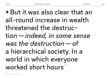•But it was also clear that an all-round increase in wealth threatened the destruction*—indeed, in some sense was the destruction—*of a hierarchical society. In a world in which everyone worked short hours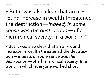• But it was also clear that an allround increase in wealth threatened the destruction*—indeed, in some sense was the destruction—*of a hierarchical society. In a world in

•But it was also clear that an all-round increase in wealth threatened the destruction*—indeed, in some sense was the destruction—*of a hierarchical society. In a world in which everyone worked short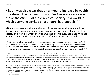•But it was also clear that an all-round increase in wealth threatened the destruction*—indeed, in some sense was the destruction—*of a hierarchical society. In a world in which everyone worked short hours, had enough <sup>24/28 pt</sup>

•But it was also clear that an all-round increase in wealth threatened the destruction*—indeed, in some sense was the destruction—*of a hierarchical society. In a world in which everyone worked short hours, had enough to eat, lived in a house with a bathroom and a refrigerator, and possessed 18/21 pt

•But it was also clear that an all-round increase in wealth threatened the destruction*—indeed, in some sense was the destruction—*of a hierarchical society. In a world in which everyone worked short hours, had enough to eat, lived in a house with a bathroom and a refrigerator, and possessed a motor-car or even an aeroplane, the most obvious and perhaps the most important form of  $14/17$  pt

•But it was also clear that an all-round increase in wealth threatened the destruction*—indeed, in some sense was the destruction—*of a hierarchical society. In a world in which everyone worked short hours, had enough to eat, lived in a house with a bathroom and a refrigerator, and possessed a motor-car or even an aeroplane, the most obvious and perhaps the most important form of inequality would already have disappeared. If it once became general, wealth would confer no distinction. It was possible, no doubt, to imagine a society in which *WEALTH,* in the sense of personal possessions and luxuries 11/14 pt

•But it was also clear that an all-round increase in wealth threatened the destruction*—indeed, in some sense was the destruction—*of a hierarchical society. In a world in which everyone worked short hours, had enough to eat, lived in a house with a bathroom and a refrigerator, and possessed a motor-car or even an aeroplane, the most obvious and perhaps the most important form of inequality would already have disappeared. If it once became general, wealth would confer no distinction. It was possible, no doubt, to imagine a society in which *WEALTH,* in the sense of personal possessions and luxuries, should be evenly distributed, while *POWER* remained in the hands of a small privileged caste. 9/12 pt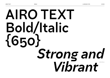#### AIRO TEXT BOLD LA BOLDE VITA 29 /65

# **AIRO TEXT Bold/Italic {650}** *Strong and*  Vibrant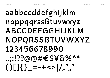# aabbccddefghijklm noppggrssßtuvwxyz ABCCDEFGGHIJKLM NOPQRSSBTUVWXYZ 123456678990  $...$  ?? @@# $\epsilon$ \$¥&%^\*  $( )[[]( )_{-}=-+<>)/$  , "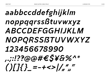## aabbccddefghijklm noppqqrssßtuvwxyz ABCCDEFGGHIJKLM NOPQRSSBTUVWXYZ 123456678990  $... 12? @$ a#€\$¥&%^\*  $( )[[]( )_{-}=-+<>)/$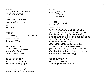**TABULAR FIGURES** 012345667899 #a, . : ; + - ± × ÷ = ≠ ≈ <>≤≥¬¢£F€€\$¥f¤

**MATHEMATICAL SYMBOLS** 

**FIGURES** 012345667899 012345667899<br>012345667899 012345667899 0000000000

CONTEXTUAL ALTERNATES B ? i www WWW

#### $\Pi$  states  $\Pi$ ca ct cz fa ft ga gg rt rz ra sa st sz ta tt

**DISCRETIONARY LIGATURES** 

**STANDARD LIGATURES** 

### aabbccddefghijklmn oppggrssßtuvwxyz

**IOWERCASE** 

### ABCCDEFGGHIJKLMNO PQRSSTUVWXYZ

**UPPERCASE** 

OTHER SYMBOLS ¢£F£€Ŝ¥¤Pts®©®™ Nºlao°◇ e¶§ffft ‱ ←↑↓→↔↑下フソビ▲▼▶◀▲▶▶▼

**ACCENTED CHARACTERS** ÀÁÂÃÄÅÅĀĂAĂAÆÆ ÇÇĆĆĈĈĊČČ ĐĎĐ ÈÉÊËĒĒĚEE ĜĜĞĞĞGĢĢĞĞ ĤĦ ÌÍÎÏĨĬĪĮĮİ IJÍJ ĴĶ ĹĻĽĿŁ ÑŃŅŇŊ ÒÓÔÕÖØØŌŎŐQŒ Þ ŔŖŘ ŚŚŜŜŞŞŞŞŠŠ ŢŢŤŦ ŨŰÛÜŨŪŬŮŰŲŲ ŴŴŴŴ ÝŶŸŸŶŶ ŹŻŽ ààááââãääåååāāăǎaaããaaææææ ccccccccccc ad'd'dd eeeeeeeeeee ĝğġģǧ ĥħ ìíîïĩĭījịi ijỹ ĵj ķĸ ĺļľŀł ñńņň'nŋ dóôõöøøōŏõọœ bb frř śśŝŝşşşşšš ttťt dúâüūūŭåűuu wwww ýŷÿÿỹỳ źżž

CASE-SENSITIVE FORMS  $()[]{}$ ici:; • - - - « » <> **BOD@@^^^^** 

…;;,...!¡?¿∙●\*\*\*\*\*#  $\Lambda$ ()[]{}@@&†‡

PUNCTUATION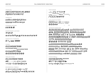**UPPERCASE** 

### ABCCDEFGGHIJKLMNO PQRSSTUVWXYZ

**IOWERCASE** 

### aabbccddefghijklmn oppggrssßtuvwxyz

**STANDARD LIGATURES** 

fi fi ff ffi ffl

**DISCRETIONARY LIGATURES** 

 $\pi$ st ct ca ct cz fa ft ga gg rt rz ra sa st sz ta tt

**CONTEXTUAL ALTERNATES** 

B ? i www WWW

**FIGURES** 

012345667899 012345667899<br>012345667899 012345667899 0000000000

**TABULAR FIGURES** 

012345667899 # $\theta$ , , ; ; + − ± x ÷ = ≠ ≈  $\langle$ > $\leq$   $\geq$   $\neg$   $\zeta$   $\in$   $\in$   $\in$   $\leq$   $\leq$   $\neq$   $\neq$   $\pi$ 

**MATHEMATICAL SYMBOLS** 

+-±×÷=≠≈<>≤≥~¬/|¦  $\Delta\Omega$ u $\pi$  $\Delta$  $\Pi$  $\delta$  $\sqrt{\bullet}$  ∞ %% $\frac{1}{4}$  $\frac{1}{2}$  $\frac{3}{4}$  PUNCTUATION

/\()[]{}@@&t‡

CASE-SENSITIVE FORMS  $()$ []{}icd:; • - - - «»<> **®©®@^^^^** 

**ACCENTED CHARACTERS** ĂÁÂÃÄÅĀĂĄÅĄÆÆ ÇÇĆĆĈĈĊĊČ ĐĎĐ ÈÉÊËĒĔĚĘĚĒĘ ĜĜĞĞĠĠĢĢĞĞ ĤĦ ĬÍÎÏĬĬĪļļİ IJĨĴ ĴĶĹĻĽĿŁ ÑŃŅŇŊ ÒÓÔÕÖØØŌŎŐọŒÞŔŖŘŚŚŜŜŞŞŞŠŠ TTŤŦ ŨŰÛÜŨŨŬŮŰŨUU ŴŴŴŴ*Ý*ŶŸŸŶŶ*ŹŻŽ* aaááââããääååāāāăaaaããaaææææ ccccccccccc dd'd'ad eééeeeeeeee êğee Âh ı i î î î î i ji ji jî ji kk Îll'l t ñ n n n n n oóôõöøøōŏõọœ bb frř śśŝŝşşşşšš ttťt uúûüūūŭůűuụ wwŵŵ ýŷÿÿỹy źżž

OTHER SYMBOLS

¢£F£€Ŝ¥¤Pts®©®™  $N^{2}$ l  $^{a\,o\,o}$  $\Diamond$   $\ominus$   $\blacktriangledown$   $S$  ff ft  $\aleph_{\mathbb{H}^*}$ ←↑↓→↔↑€₹₹₩₩₩₩₩₩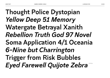**Thought Police Dystopian**  *Yellow Deep 51 Memory*  **Watergate Betrayal Xanith**  *Rebellion Truth God 97 Novel*  **Soma Application 4/1 Oceania**  *6-Nine but Charrington*  **Trigger from Risk Bubbles**  *Eyed Farewell Quijote Zebra* 48/58 pt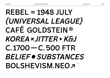### **REBEL = 1948 JULY**  *{UNIVERSAL LEAGUE}* **CAFÉ GOLDSTEIN®** *KOREA×JITTER▶K&J* **C. 1700—C.500 FTR** *BELIEF•SUBSTANCES* **BOLSHEVISM.NEO↗** 54/68 pt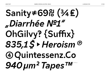# Sanity #69% (3/4£) "Diarrhée Nº1" OhGilvy? {Suffix} 835,1\$ > Heroism<sup>®</sup> 40 Quintessenz.Co 940 µm<sup>2</sup> Tapes<sup>TM</sup>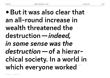### **•But it was also clear that an all-round increase in wealth threatened the destruction***—indeed, in some sense was the destruction—***of a hierarchical society. In a world in**  which everyone worked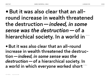**•But it was also clear that an allround increase in wealth threatened the destruction***—indeed, in some sense was the destruction—***of a**  hierarchical society. In a world in

**•But it was also clear that an all-round increase in wealth threatened the destruction***—indeed, in some sense was the destruction—***of a hierarchical society. In**  a world in which everyone worked short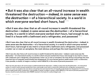### **•But it was also clear that an all-round increase in wealth threatened the destruction***—indeed, in some sense was the destruction—***of a hierarchical society. In a world in which everyone worked short hours, had** 24/28 pt

**•But it was also clear that an all-round increase in wealth threatened the destruction***—indeed, in some sense was the destruction—***of a hierarchical society. In a world in which everyone worked short hours, had enough to eat,**  lived in a house with a bathroom and a refrigerator, and possessed 18/21 pt

**•But it was also clear that an all-round increase in wealth threatened the destruction***—indeed, in some sense was the destruction—***of a hierarchical society. In a world in which everyone worked short hours, had enough to eat, lived in a house with a bathroom and a refrigerator, and possessed a motor-car or even an aeroplane, the most obvious and perhaps the most important form** 14/17 pt

**•But it was also clear that an all-round increase in wealth threatened the destruction***—indeed, in some sense was the destruction—***of a hierarchical society. In a world in which everyone worked short hours, had enough to eat, lived in a house with a bathroom and a refrigerator, and possessed a motor-car or even an aeroplane, the most obvious and perhaps the most important form of inequality would already have disappeared. If it once became general, wealth would confer no distinction. It was possible, no doubt, to imagine a society in which** *WEALTH,* **in the sense of personal possessions** 11/14 pt

**•But it was also clear that an all-round increase in wealth threatened the destruction***—indeed, in some sense was the destruction—***of a hierarchical society. In a world in which everyone worked short hours, had enough to eat, lived in a house with a bathroom and a refrigerator, and possessed a motor-car or even an aeroplane, the most obvious and perhaps the most important form of inequality would already have disappeared. If it once became general, wealth would confer no distinction. It was possible, no doubt, to imagine a society in which** *WEALTH,* **in the sense of personal possessions and luxuries, should be evenly distributed, while** *POWER* **remained in the hands of a small privileged caste.** 9/12 pt

TEXT SAMPLE George Orwell, 1984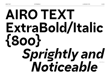# **AIRO TEXT ExtraBold/Italic {800}** *Sprightly and Noticeable*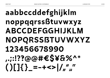# aabbccddefghijklm noppggrssßtuvwxyz ABCCDEFGGHIJKLM NOPQRSSBTUVWXYZ 123456678990 **".,..??@@#€\$¥&%^\***  $( )[[]( )_{-}=-+<)|/$  "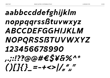## aabbccddefghijklm noppggrssßtuvwxyz ABCCDEFGGHIJKLM **NOPQRSSBTUVWXYZ** 123456678990  $... 122000000004554696$  $QII_{2} = -+$

**LA BOLDE VITA**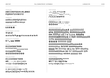### +-±×÷=≠≈<>≤≥~¬/|¦  $\Delta\Omega$ uπ $\Omega$ ]Σ∂√•∞%‰¼¼¾

**TABULAR FIGURES** 012345667899 #8, . : ; + - ± × ÷ = ≠ ≈ <>≤≥¬¢£F€€\$¥f¤

**MATHEMATICAL SYMBOLS** 

**FIGURES** 012345667899 012345667899<br>012345667899 012345667899 0000000000

**CONTEXTUAL ALTERNATES B** ? *i* www WWW

#### $\pi\pi\pi$ ca ct cz fa ft ga gg rt rz ra sa st sz ta tt

DISCRETIONARY LIGATURES

**STANDARD LIGATURES** fi fi ff ffi ffl

### aabbccddefghijklmn oppggrssßtuvwxyz

**IOWERCASE** 

### ABCCDEFGGHIJKLMNO PQRSSTUVWXYZ

**UPPERCASE** 

**ACCENTED CHARACTERS** ÀÁÂÃÄÅÅĀĂĄĂĄÆÆ ÇÇĆĆĈĈĊĊČČ ĐĎĐ ÈÉÊËĒĔĚĖĘĚĒĘ ĜĜĞĞĠĠĢĢĞĞ ĤĦ IIIIIIIIIII IJIJ ĴĶ ĹĻĽĿŁ ÑŃŅŇŊ ÒÓÔÕÖØØŌŎŐQŒ Þ ŔŖŘ ŚŚŜŜŞŞŞŞŠŠ ŢŢŤŦ ŨŰÛÜŨŪŬŮŰŲŲ ŴŴŴŴÝŶŸŸŶŶŹŻŽ à à á á â â ã ä ä ä å å ā ā ă ă a a a a a æ æ æ æ ccccccccccc ad'd'dd eeeeeeeeeee ĝğġģǧ ĥħ ìíîïĩĭīiịi ijỹ ĵj ķĸ ĺļľŀł ñńņň'nŋ dóôõöøøōŏõọœ bb frř śśŝŝşşşşšš ttťt dúûüūūŭůűuu wwŵŵ ýŷÿÿỹỳ źżž

CASE-SENSITIVE FORMS  $()[]{}$ ici:; • – – – «» ®©®@a^`

.,:;...!;?¿∙●\*\*\*\*\*# ----"'<><<>""---"" /\()[]{}@@&t#

PUNCTUATION

OTHER SYMBOLS

¢£F£€\$¥¤Pts®©®™

←↑↓→⇔¢≮↗↘∠▲▼▶◀◢▲┍▼

Nºlao°◇ef§ffft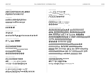**UPPERCASE** 

### ABCCDEFGGHIJKLMNO PQRSSTUVWXYZ

**IOWERCASE** 

### aabbccddefghijklmn oppggrssßtuvwxyz

**STANDARD LIGATURES** 

fi fi ff ffi ffl

**DISCRETIONARY LIGATURES** 

 $\pi$ எ $\sigma$ ca ct cz fa ft ga gg rt rz ra sa st sz ta tt

CONTEXTUAL ALTERNATES

B ? i www WWW

**FIGURES** 

012345667899 012345667899<br>012345667899 012345667899 0000000000

**TABULAR FIGURES** 

012345667899  $\#$  $\mathcal{C}$ , . : ; + -  $\pm$  x  $\div$  =  $\neq$   $\approx$ <>≤≥¬¢£F£€\$¥f¤

**MATHEMATICAL SYMBOLS** 

+-±×÷=≠≈<>≤≥~¬/|¦  $\Delta\Omega$ u $\pi$  $\Delta\Pi$  $\delta\sqrt{\bullet}$  ∞ %‰ $\frac{1}{4}$  $\frac{1}{2}$  $\frac{3}{4}$  PUNCTUATION

.,:;...!;?¿∙●\*\*\*\*\*# /\()[]{}@@&t#

CASE-SENSITIVE FORMS  $()$ []{}i¿¿:;·•---«»<> ®©®@@^`~`

**ACCENTED CHARACTERS** ĂÁÂÃÄÅĀĂĄĂĄÆÆ ÇÇĆĆĈĈĊĊČČ ĐĎĐ ÈÉÊËĒĔĔĘĚĒĘ ĜĜĞĞĠĠĢĢĞĞ ĤĦ ĬÍÎÏĬĬĪĮĮİ IJĨĴ Ķ ĹĻĽĿŁ ÑŃŅŇŊ ÒÓÔÕÖØØŌŎŐọŒÞŔŖŘŚŚŜŜŞŞŞŠŠ TTŤŦ ŨŰÛÜŨŨŬŮŰŨUU ŴŴŴŴ ÝŶŸŸŶŶ ŹŻŽ à à á á â â ã ã ä ä å å ā ā ă ă a a ă ã a a æ æ æ æ ccccccccccc dd'd'ad eseeseeses êğee Âh iíî i i ii iii ii î kk Îll'H ñhnňhn oóôõöøøōŏõọœ bb frř śśŝŝşşşşšš ttťt uúûüūūŭůűuụ wwŵŵ ýŷÿÿỹỳ źżž

OTHER SYMBOLS

¢£F£€Ŝ¥¤Pts®©®™  $N^{2}$ l  $^{a\,o\,o}$  $\Diamond$   $\ominus$   $\blacktriangleright$   $\blacktriangleright$   $f$   $f$   $f$   $t$   $\aleph$   $\blacktriangleright$ ←↑↓→⇔¢≮↗↘∠▲▼▶◀◢▲▼▼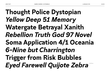**Thought Police Dystopian**  *Yellow Deep 51 Memory*  **Watergate Betrayal Xanith**  *Rebellion Truth God 97 Novel*  **Soma Application 4/1 Oceania**  *6-Nine but Charrington*  **Trigger from Risk Bubbles**  *Eyed Farewell Quijote Zebra* 48/58 pt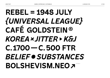### **REBEL = 1948 JULY**  *{UNIVERSAL LEAGUE}* **CAFÉ GOLDSTEIN®** *KOREA×JITTER▶K&J* **C.1700—C.500 FTR** *BELIEF•SUBSTANCES* **BOLSHEVISM.NEO↗** 54/68 pt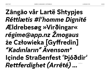### **Zângão vår Lartë Shtypjes**  *Réttlætis #l'homme Dignité* **Ældrebesøg »Virðingar«** *régime@app.nz Žmogaus*  **że Człowieka [Gyffredin]**  *"Kadınların" Ävensom\**  **Içinde Straßenfest 'Þjóðdir'** *Rettferdighet (Arrêté)* ...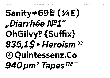# Sanity#69% (34£) "Diarrhée Nº1" OhGilvy? {Suffix} 835,1\$ > Heroism<sup>®</sup> 40 Quintessenz.Co 940 µm<sup>2</sup> Tapes<sup>TM</sup>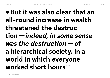### **•But it was also clear that an all-round increase in wealth threatened the destruction***—indeed, in some sense was the destruction—***of a hierarchical society. In a world in which everyone**  Worked short hours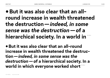### **•But it was also clear that an allround increase in wealth threatened the destruction***—indeed, in some sense was the destruction—***of a hierarchical society. In a world in**

**•But it was also clear that an all-round increase in wealth threatened the destruction***—indeed, in some sense was the destruction—***of a hierarchical society. In a**  world in which everyone worked short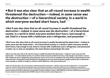### **•But it was also clear that an all-round increase in wealth threatened the destruction***—indeed, in some sense was the destruction—***of a hierarchical society. In a world in which everyone worked short hours, had** 24/28 pt

**•But it was also clear that an all-round increase in wealth threatened the destruction***—indeed, in some sense was the destruction—***of a hierarchical society. In a world in which everyone worked short hours, had enough to eat, lived in a house with a bathroom and a refrigerator, and possessed** 18/21 pt

**•But it was also clear that an all-round increase in wealth threatened the destruction***—indeed, in some sense was the destruction—***of a hierarchical society. In a world in which everyone worked short hours, had enough to eat, lived in a house with a bathroom and a refrigerator, and possessed a motor-car or even an aeroplane, the most obvious and perhaps the most** 14/17 pt

**•But it was also clear that an all-round increase in wealth threatened the destruction***—indeed, in some sense was the destruction—***of a hierarchical society. In a world in which everyone worked short hours, had enough to eat, lived in a house with a bathroom and a refrigerator, and possessed a motor-car or even an aeroplane, the most obvious and perhaps the most important form of inequality would already have disappeared. If it once became general, wealth would confer no distinction. It was possible, no doubt, to imagine a society in which** *WEALTH,* **in the sense of personal** 11/14 pt

**•But it was also clear that an all-round increase in wealth threatened the destruction***—indeed, in some sense was the destruction—***of a hierarchical society. In a world in which everyone worked short hours, had enough to eat, lived in a house with a bathroom and a refrigerator, and possessed a motor-car or even an aeroplane, the most obvious and perhaps the most important form of inequality would already have disappeared. If it once became general, wealth would confer no distinction. It was possible, no doubt, to imagine a society in which** *WEALTH,* **in the sense of personal possessions and luxuries, should be evenly distributed, while** *POWER* **remained in the hands of a small privileged caste.** 9/12 pt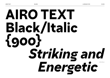# AIRO TEXT Black/Italic {900} *Striking and*  Energetic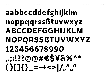# aabbccddefghijklm noppggrssßtuvwxyz ABCCDEFGGHIJKLM NOPQRSSBTUVWXYZ 123456678990 **......@@#€\$¥&%^\***  $()[]{} = -+&>|/$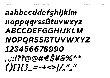## aabbccddefghijklm noppqqrssßtuvwxyz ABCCDEFGGHIJKLM **NOPQRSSBTUVWXYZ** 123456678990  $... 122000000004654676$  $QII2 = -+$

55/65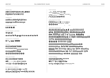### +-±×÷=≠≈<>≤≥~¬/|¦ ΔΩμπ∫ΔΠΣ∂√•∞%‰¼¼¾

**TABULAR FIGURES** 012345667899 #8, . : ; +-±×÷=≠≈ <>≤≥¬¢£F€€\$¥f¤

**MATHEMATICAL SYMBOLS** 

012345667899 012345667899<br>012345667899 012345667899 0000000000

**FIGURES** 

**CONTEXTUAL ALTERNATES B** ? *i* www WWW

### $\pi$ எ $\pi$ ca ct cz fa ft ga gg rt rz ra sa st sz ta tt

**DISCRETIONARY LIGATURES** 

**STANDARD LIGATURES** fi fi ff ffi ffi

### aabbccddefghijklmn oppggrssßtuvwxyz

**IOWERCASE** 

### ABCCDEFGGHIJKLMNO **PQRSSTUVWXYZ**

**UPPERCASE** 

**ACCENTED CHARACTERS** ÀÁÂÃÄÄÅĀĂĄĂĄÆÆ ÇÇĆĆĈĈĊĊČČ ĐĎĐ ÈÉÊËĒĔĚEĚĒĘ ĜĜĞĞĠĠĢĢĞĞ ĤĦ IIIIIIIIIII IJIJ ĴĶ ĹĻĽĿŁ ÑŃŅŇŊ ÒÓÔÕÖØØŌŎŐQŒ Þ ŔŖŘ ŚŚŜŜŞŞŞŞŠŠ ŢŢŤŦ ŨŰÛÜŨŨŬŮŰŲŲ ŴŴŴŴ ÝŶŸŸŶŶ ŹŻŽ ààááââããääååāāăăaaããaaææææ ccccccccccc dd'd'dd eeeeeeeeeee ĝšġģǧ ĥħ ĭíîïīĭīįįi ijỹ ĵj ķĸ ĺļľŀł ñńņňnŋ dóôõöøøōŏõọœ bb frř śśŝŝssssšš ttťt ùúûüūūŭůűuu wwŵŵ ýŷÿÿỹỳ źżž

CASE-SENSITIVE FORMS  $()[]{}$ ici:; • • – – – «»<>  $\bigcirc$   $\bigcirc$   $\bigcirc$   $\bigcirc$   $\bigcirc$   $\bigcirc$ 

.,:;...!;?¿∙●\*\*\*\*\*# ----"'<><<>"---""<>> /\()[]{}@@&t#

PUNCTUATION

OTHER SYMBOLS

¢£F£€\$¥¤Pts®©®™

←↑↓→⇔±ጜ↗→ヒ▲▼▶◀▲▶▶▼

Nºlao° ◇ e T§ffft Pr

**FULL CHARACTER SET < BLACK**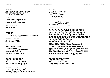**UPPERCASE** 

### ABCCDEFGGHIJKLMNO **PQRSSTUVWXYZ**

**IOWERCASE** 

### aabbccddefghijklmn oppggrssßtuvwxyz

**STANDARD LIGATURES** 

fi fi ff ffi ffi

**DISCRETIONARY LIGATURES** 

 $\bm{\pi}\bm{\pi}\bm{\sigma}$ ca ct cz fa ft ga gg rt rz ra sa st sz ta tt

**CONTEXTUAL ALTERNATES** 

B ? ; www WWW

**FIGURES** 

012345667899 012345667899<br>012345667899 012345667899 0000000000

**TABULAR FIGURES** 

012345667899  $\#$  $\mathcal{C}$ , . : ; + -  $\pm$  x  $\div$  =  $\neq$   $\approx$  $\langle$ > $\leq$   $\geq$   $\neg$   $\zeta$   $\in$   $\mathsf{F}$   $\in$   $\mathsf{E}$   $\in$   $\mathsf{S}$   $\mathsf{Y}$   $\mathsf{F}$   $\mathsf{X}$ 

**MATHEMATICAL SYMBOLS** 

+-±×÷=≠≈<>≤≥~¬/|¦  $\Delta \Omega$ u $\pi$  $\Delta$  $\Pi$  $\delta$  $\sqrt{\bullet}$  ∞ %% $\frac{1}{4}$  $\frac{1}{2}$  $\frac{3}{4}$  PUNCTUATION

.,:;...!;?¿∙● \*\*\*\* \*#  $\mu$  = = =  $\mu$  ,  $\langle \rangle \langle \langle \rangle \rangle \langle \langle \rangle$  ,  $\mu$  ,  $\mu$  ,  $\mu$  ,  $\mu$ /\()[]{}@@&t#

CASE-SENSITIVE FORMS  $OII\{$ }i¿¿:;••-—«»<> ®©®@@^```

**ACCENTED CHARACTERS** ĂÁÂÃÄÅÅĀĂĄÅĄÆÆ ÇÇĆĆĈĈĊĊČČ ĐĎĐ ÈÉÊËĒĒĔĖĘĚĒĘ ĜĜĞĞĠĠĢĢĞĞ ĤĦ ĬÍÎÏĬĬĪĮĮİ IJĨĴ Ĵ Ķ ĹĻĽĿŁ ÑŃŅŇŊ ÒÓÔÕÖØØŌŎŐọŒ Þ ŔŖŘ ŚŚŜŜŞŞŞŞŠŠ TTŤŦ ŨŰÛÜŨŨŬŮŰŨUU ŴŴŴŴ ÝŶŸŸŶŶ ŹŻŽ à à á á â â ã ä ä ä å å ä ä ä ä a a ä å ä a æ æ æ æ æ ććĉĉċċččçç ðd'd'đđ èéêëēĕėeěēe ĝšššš ĥħ ìíîïīĭīiịi ijỹ ĵj ķĸ ĺļľŀł ñńņňnŋ dóôõöøøōŏõọœ bb frř śśŝŝssssšš ttťt dúâüāūŭåűuu wwww ýŷÿÿỹỳ źżž

OTHER SYMBOLS

¢£F£€Ŝ¥¤Pts®©®™  $N^{2}$ l a  $\circ$   $\Diamond$   $\ominus$   $\blacktriangledown$   $\Diamond$  ff ft  $\Re$ ←↑↓→⇔±ጜ↗→ヒ▲▼▶◀▲▶▶▼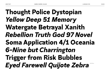Thought Police Dystopian *Yellow Deep 51 Memory*  Watergate Betrayal Xanith *Rebellion Truth God 97 Novel*  Soma Application 4/1 Oceania *6-Nine but Charrington*  Trigger from Risk Bubbles **Eyed Farewell Quijote Zebra**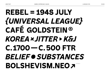### $REBEL = 1948 JULY$ *{UNIVERSAL LEAGUE}* CAFÉ GOLDSTEIN® *KOREA×JITTER▶K&J* C.1700—C.500 FTR *BELIEF•SUBSTANCES* BOLSHEVISM.NEO↗ 54/68 pt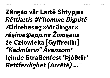### Zângão vår Lartë Shtypjes *Réttlætis #l'homme Dignité* Ældrebesøg »Virðingar« *régime@app.nz Žmogaus*  że Człowieka [Gyffredin] *"Kadınların" Ävensom\**  Içinde Straßenfest 'Þjóðdir' *Rettferdighet (Arrêté)* ...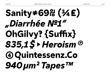# Sanity#69% (34£) "Diarrhée Nº1" OhGilvy? {Suffix} 835,1\$ > Heroism<sup>®</sup> **@ Quintessenz.Co** 940 µm<sup>2</sup> Tapes<sup>TM</sup>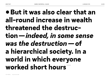### •But it was also clear that an all-round increase in wealth threatened the destruction*—indeed, in some sense was the destruction—*of a hierarchical society. In a world in which everyone worked short hours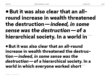### •But it was also clear that an allround increase in wealth threatened the destruction*—indeed, in some sense was the destruction—*of a hierarchical society. In a world in

•But it was also clear that an all-round increase in wealth threatened the destruction*—indeed, in some sense was the destruction—*of a hierarchical society. In a world in which everyone worked short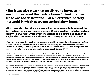### •But it was also clear that an all-round increase in wealth threatened the destruction*—indeed, in some sense was the destruction—*of a hierarchical society. In a world in which everyone worked short hours,  $24/2$

•But it was also clear that an all-round increase in wealth threatened the destruction*—indeed, in some sense was the destruction—*of a hierarchical society. In a world in which everyone worked short hours, had enough to eat, lived in a house with a bathroom and a refrigerator, and possessed 18/21 pt

•But it was also clear that an all-round increase in wealth threatened the destruction*—indeed, in some sense was the destruction—*of a hierarchical society. In a world in which everyone worked short hours, had enough to eat, lived in a house with a bathroom and a refrigerator, and possessed a motor-car or even an aeroplane, the most obvious and 14/17 pt

•But it was also clear that an all-round increase in wealth threatened the destruction*—indeed, in some sense was the destruction—*of a hierarchical society. In a world in which everyone worked short hours, had enough to eat, lived in a house with a bathroom and a refrigerator, and possessed a motor-car or even an aeroplane, the most obvious and perhaps the most important form of inequality would already have disappeared. If it once became general, wealth would confer no distinction. It was possible, no doubt, to imagine a society in which *WEALTH,* in the sense of personal 11/14 pt

•But it was also clear that an all-round increase in wealth threatened the destruction*—indeed, in some sense was the destruction—*of a hierarchical society. In a world in which everyone worked short hours, had enough to eat, lived in a house with a bathroom and a refrigerator, and possessed a motor-car or even an aeroplane, the most obvious and perhaps the most important form of inequality would already have disappeared. If it once became general, wealth would confer no distinction. It was possible, no doubt, to imagine a society in which *WEALTH,* in the sense of personal possessions and luxuries, should be evenly distributed, while *POWER* remained in the hands of a small privileged caste. 9/12 pt